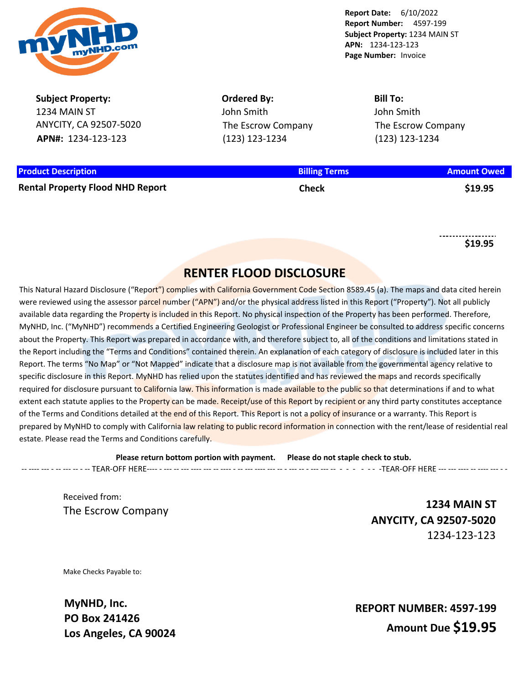

**Report Date:** 6/10/2022 **Report Number:** 4597-199 **Subject Property:** 1234 MAIN ST **APN:** 1234-123-123 **Page Number:** Invoice

**Subject Property:** 1234 MAIN ST ANYCITY, CA 92507-5020 **APN#:** 1234-123-123

**Ordered By:** John Smith The Escrow Company (123) 123-1234

**Bill To:** John Smith The Escrow Company (123) 123-1234

| <b>Product Description</b>              | <b>Billing Terms</b> | <b>Amount Owed</b> |
|-----------------------------------------|----------------------|--------------------|
| <b>Rental Property Flood NHD Report</b> | Check                | \$19.95            |

**\$19.95**

# **RENTER FLOOD DISCLOSURE**

This Natural Hazard Disclosure ("Report") complies with California Government Code Section 8589.45 (a). The maps and data cited herein were reviewed using the assessor parcel number ("APN") and/or the physical address listed in this Report ("Property"). Not all publicly available data regarding the Property is included in this Report. No physical inspection of the Property has been performed. Therefore, MyNHD, Inc. ("MyNHD") recommends a Certified Engineering Geologist or Professional Engineer be consulted to address specific concerns about the Property. This Report was prepared in accordance with, and therefore subject to, all of the conditions and limitations stated in the Report including the "Terms and Conditions" contained therein. An explanation of each category of disclosure is included later in this Report. The terms "No Map" or "Not Mapped" indicate that a disclosure map is not available from the governmental agency relative to specific disclosure in this Report. MyNHD has relied upon the statutes identified and has reviewed the maps and records specifically required for disclosure pursuant to California law. This information is made available to the public so that determinations if and to what extent each statute applies to the Property can be made. Receipt/use of this Report by recipient or any third party constitutes acceptance of the Terms and Conditions detailed at the end of this Report. This Report is not a policy of insurance or a warranty. This Report is prepared by MyNHD to comply with California law relating to public record information in connection with the rent/lease of residential real estate. Please read the Terms and Conditions carefully.

**Please return bottom portion with payment. Please do not staple check to stub.**  -- ---- --- - -- --- -- - -- TEAR-OFF HERE---- - --- -- --- ---- --- -- ---- - -- --- ---- --- -- - --- -- - --- --- -- - - - - - - -TEAR-OFF HERE --- --- ---- -- ---- --- - -

Received from:

The Escrow Company **1234 MAIN ST ANYCITY, CA 92507-5020** 1234-123-123

Make Checks Payable to:

**MyNHD, Inc. PO Box 241426 Los Angeles, CA 90024**

**REPORT NUMBER: 4597-199 Amount Due \$19.95**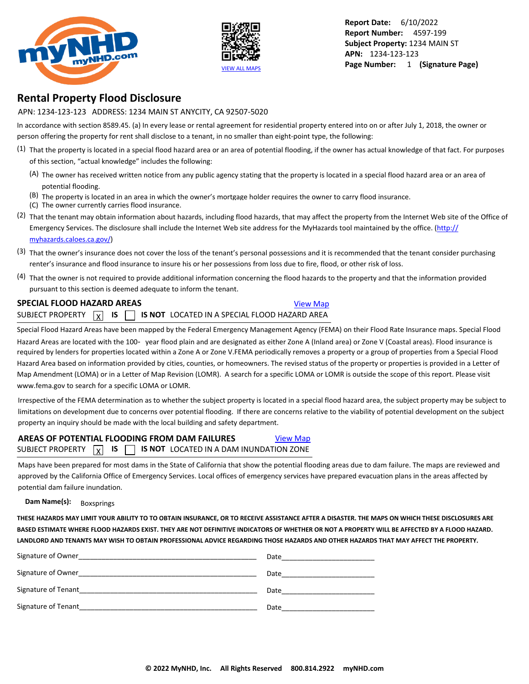



**Report Date:** 6/10/2022 **Report Number:** 4597-199 **Subject Property:** 1234 MAIN ST **APN:** 1234-123-123 **Page Number:** 1 **(Signature Page)**

## **Rental Property Flood Disclosure**

APN: 1234-123-123 ADDRESS: 1234 MAIN ST ANYCITY, CA 92507-5020

In accordance with section 8589.45. (a) In every lease or rental agreement for residential property entered into on or after July 1, 2018, the owner or person offering the property for rent shall disclose to a tenant, in no smaller than eight-point type, the following:

- $(1)$  That the property is located in a special flood hazard area or an area of potential flooding, if the owner has actual knowledge of that fact. For purposes of this section, "actual knowledge" includes the following:
	- (A) The owner has received written notice from any public agency stating that the property is located in a special flood hazard area or an area of potential flooding.
	- $(B)$  The property is located in an area in which the owner's mortgage holder requires the owner to carry flood insurance. (C) The owner currently carries flood insurance.
- (2) That the tenant may obtain information about hazards, including flood hazards, that may affect the property from the Internet Web site of the Office of Emergency Services. The disclosure shall include the Internet Web site address for the MyHazards tool maintained by the office. ([http://](http://myhazards.caloes.ca.gov/)

[myhazards.caloes.ca.gov/](http://myhazards.caloes.ca.gov/))

- (3) That the owner's insurance does not cover the loss of the tenant's personal possessions and it is recommended that the tenant consider purchasing renter's insurance and flood insurance to insure his or her possessions from loss due to fire, flood, or other risk of loss.
- (4) That the owner is not required to provide additional information concerning the flood hazards to the property and that the information provided pursuant to this section is deemed adequate to inform the tenant.

#### **SPECIAL FLOOD HAZARD AREAS [View Map](https://www.mynhd.com/hazardmaps/1846077/844305)** SUBJECT PROPERTY  $\boxed{x}$  IS  $\boxed{ }$ **IS IS NOT** LOCATED IN A SPECIAL FLOOD HAZARD AREA

Special Flood Hazard Areas have been mapped by the Federal Emergency Management Agency (FEMA) on their Flood Rate Insurance maps. Special Flood Hazard Areas are located with the 100 year flood plain and are designated as either Zone A (Inland area) or Zone V (Coastal areas). Flood insurance is required by lenders for properties located within a Zone A or Zone V.FEMA periodically removes a property or a group of properties from a Special Flood Hazard Area based on information provided by cities, counties, or homeowners. The revised status of the property or properties is provided in a Letter of Map Amendment (LOMA) or in a Letter of Map Revision (LOMR). A search for a specific LOMA or LOMR is outside the scope of this report. Please visit www.fema.gov to search for a specific LOMA or LOMR.

Irrespective of the FEMA determination as to whether the subject property is located in a special flood hazard area, the subject property may be subject to limitations on development due to concerns over potential flooding. If there are concerns relative to the viability of potential development on the subject property an inquiry should be made with the local building and safety department.

#### **AREAS OF POTENTIAL FLOODING FROM DAM FAILURES** [View Map](https://www.mynhd.com/hazardmaps/1846078/844305) SUBJECT PROPERTY  $\boxed{\chi}$  **IS**  $\boxed{\phantom{0}}$  **is not** located in a dam inundation zone

Maps have been prepared for most dams in the State of California that show the potential flooding areas due to dam failure. The maps are reviewed and approved by the California Office of Emergency Services. Local offices of emergency services have prepared evacuation plans in the areas affected by potential dam failure inundation.

#### **Dam Name(s):** Boxsprings

**THESE HAZARDS MAY LIMIT YOUR ABILITY TO TO OBTAIN INSURANCE, OR TO RECEIVE ASSISTANCE AFTER A DISASTER. THE MAPS ON WHICH THESE DISCLOSURES ARE BASED ESTIMATE WHERE FLOOD HAZARDS EXIST. THEY ARE NOT DEFINITIVE INDICATORS OF WHETHER OR NOT A PROPERTY WILL BE AFFECTED BY A FLOOD HAZARD. LANDLORD AND TENANTS MAY WISH TO OBTAIN PROFESSIONAL ADVICE REGARDING THOSE HAZARDS AND OTHER HAZARDS THAT MAY AFFECT THE PROPERTY.** 

| Signature of Owner   | Date |
|----------------------|------|
| Signature of Owner_  | Date |
| Signature of Tenant  | Date |
| Signature of Tenant_ | Date |